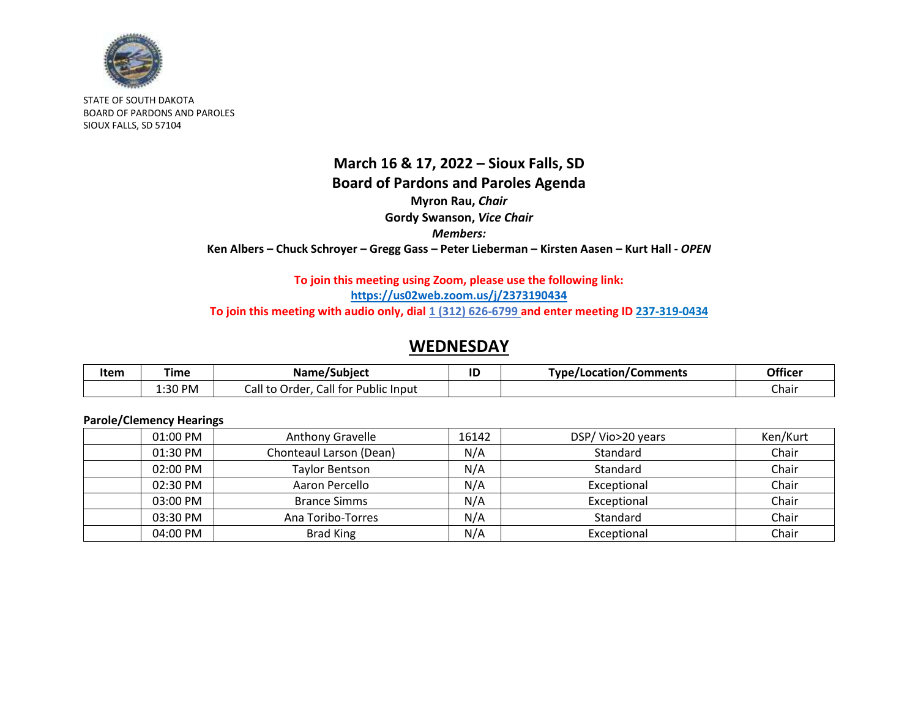

STATE OF SOUTH DAKOTA BOARD OF PARDONS AND PAROLES SIOUX FALLS, SD 57104

## **March 16 & 17, 2022 – Sioux Falls, SD Board of Pardons and Paroles Agenda Myron Rau,** *Chair* **Gordy Swanson,** *Vice Chair Members:* **Ken Albers – Chuck Schroyer – Gregg Gass – Peter Lieberman – Kirsten Aasen – Kurt Hall -** *OPEN*

### **To join this meeting using Zoom, please use the following link: <https://us02web.zoom.us/j/2373190434>** To join this meeting with audio only, dial 1 (312) 626-6799 and enter meeting ID 237-319-0434

## **WEDNESDAY**

| Item | ⊺ime    | Name/Subject                                              | ID | <b>Type/Location/C</b><br>/Comments | <b>Officer</b> |
|------|---------|-----------------------------------------------------------|----|-------------------------------------|----------------|
|      | 1:30 PM | Call for<br>$\cdot$<br>Lall to<br>: Public Input<br>Order |    |                                     | Chair          |

### **Parole/Clemency Hearings**

| $01:00$ PM | Anthony Gravelle        | 16142 | DSP/Vio>20 years | Ken/Kurt |
|------------|-------------------------|-------|------------------|----------|
| 01:30 PM   | Chonteaul Larson (Dean) | N/A   | Standard         | Chair    |
| $02:00$ PM | <b>Taylor Bentson</b>   | N/A   | Standard         | Chair    |
| 02:30 PM   | Aaron Percello          | N/A   | Exceptional      | Chair    |
| 03:00 PM   | <b>Brance Simms</b>     | N/A   | Exceptional      | Chair    |
| 03:30 PM   | Ana Toribo-Torres       | N/A   | Standard         | Chair    |
| 04:00 PM   | <b>Brad King</b>        | N/A   | Exceptional      | Chair    |